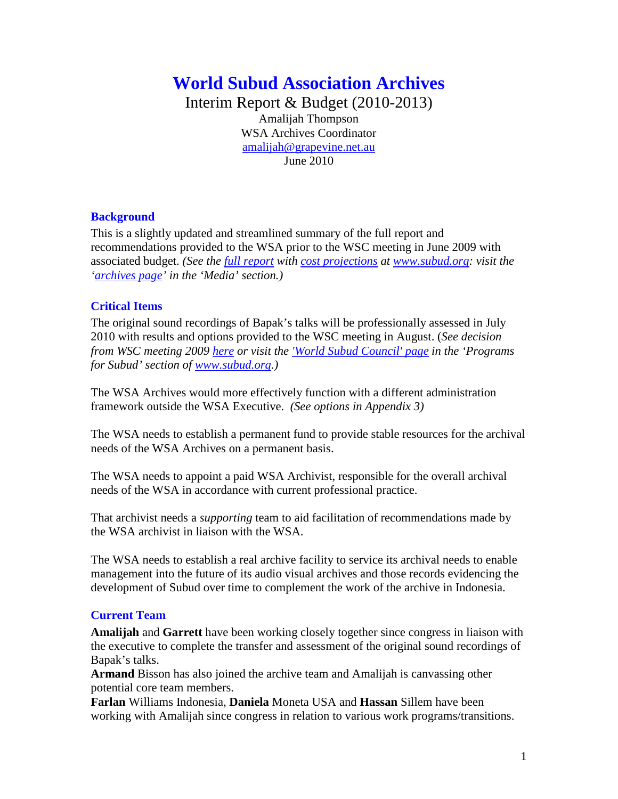# **World Subud Association Archives**

Interim Report & Budget (2010-2013) Amalijah Thompson WSA Archives Coordinator [amalijah@grapevine.net.au](mailto:amalijah@grapevine.net.au) June 2010

## **Background**

This is a slightly updated and streamlined summary of the full report and recommendations provided to the WSA prior to the WSC meeting in June 2009 with associated budget. *(See the [full report](http://www.subud.org/dyn/file/misc/memb_pages/WSAArchivesReport_April09.pdf) with [cost projections](http://www.subud.org/dyn/file/misc/memb_pages/BudgetProjections_WSA%20ArchivesDec09.pdf) at [www.subud.org:](http://www.subud.org/) visit the ['archives page'](http://www.subud.org/start.php?mcat=5&scat=29) in the 'Media' section.)*

## **Critical Items**

The original sound recordings of Bapak's talks will be professionally assessed in July 2010 with results and options provided to the WSC meeting in August. (*See decision from WSC meeting 2009 [here](http://www.subud.org/dyn/file/misc/memb_pages/WSCMin_June09.v4.pdf) or visit the ['World Subud Council' page](http://www.subud.org/start.php?mcat=6&scat=34) in the 'Programs for Subud' section of [www.subud.org.](http://www.subud.org/))*

The WSA Archives would more effectively function with a different administration framework outside the WSA Executive. *(See options in Appendix 3)*

The WSA needs to establish a permanent fund to provide stable resources for the archival needs of the WSA Archives on a permanent basis.

The WSA needs to appoint a paid WSA Archivist, responsible for the overall archival needs of the WSA in accordance with current professional practice.

That archivist needs a *supporting* team to aid facilitation of recommendations made by the WSA archivist in liaison with the WSA.

The WSA needs to establish a real archive facility to service its archival needs to enable management into the future of its audio visual archives and those records evidencing the development of Subud over time to complement the work of the archive in Indonesia.

#### **Current Team**

**Amalijah** and **Garrett** have been working closely together since congress in liaison with the executive to complete the transfer and assessment of the original sound recordings of Bapak's talks.

**Armand** Bisson has also joined the archive team and Amalijah is canvassing other potential core team members.

**Farlan** Williams Indonesia, **Daniela** Moneta USA and **Hassan** Sillem have been working with Amalijah since congress in relation to various work programs/transitions.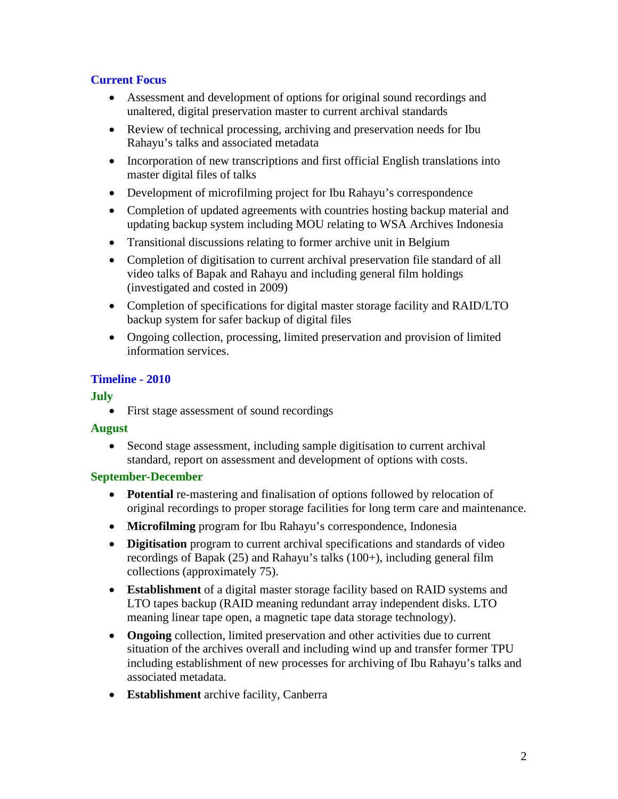# **Current Focus**

- Assessment and development of options for original sound recordings and unaltered, digital preservation master to current archival standards
- Review of technical processing, archiving and preservation needs for Ibu Rahayu's talks and associated metadata
- Incorporation of new transcriptions and first official English translations into master digital files of talks
- Development of microfilming project for Ibu Rahayu's correspondence
- Completion of updated agreements with countries hosting backup material and updating backup system including MOU relating to WSA Archives Indonesia
- Transitional discussions relating to former archive unit in Belgium
- Completion of digitisation to current archival preservation file standard of all video talks of Bapak and Rahayu and including general film holdings (investigated and costed in 2009)
- Completion of specifications for digital master storage facility and RAID/LTO backup system for safer backup of digital files
- Ongoing collection, processing, limited preservation and provision of limited information services.

# **Timeline - 2010**

# **July**

• First stage assessment of sound recordings

# **August**

• Second stage assessment, including sample digitisation to current archival standard, report on assessment and development of options with costs.

# **September-December**

- **Potential** re-mastering and finalisation of options followed by relocation of original recordings to proper storage facilities for long term care and maintenance.
- **Microfilming** program for Ibu Rahayu's correspondence, Indonesia
- **Digitisation** program to current archival specifications and standards of video recordings of Bapak (25) and Rahayu's talks (100+), including general film collections (approximately 75).
- **Establishment** of a digital master storage facility based on RAID systems and LTO tapes backup (RAID meaning redundant array independent disks. LTO meaning linear tape open, a magnetic tape data storage technology).
- **Ongoing** collection, limited preservation and other activities due to current situation of the archives overall and including wind up and transfer former TPU including establishment of new processes for archiving of Ibu Rahayu's talks and associated metadata.
- **Establishment** archive facility, Canberra